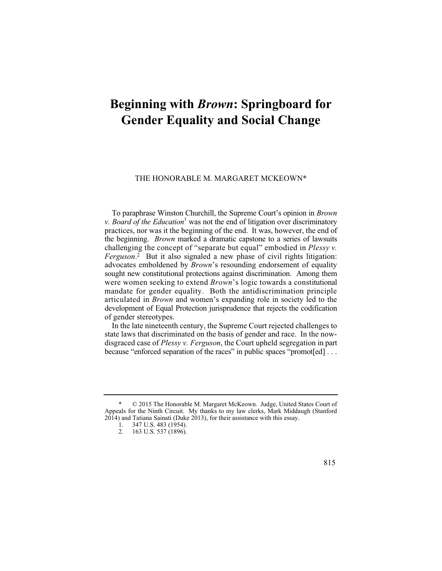## **Beginning with** *Brown***: Springboard for Gender Equality and Social Change**

## THE HONORABLE M. MARGARET MCKEOWN\*

 the beginning. *Brown* marked a dramatic capstone to a series of lawsuits To paraphrase Winston Churchill, the Supreme Court's opinion in *Brown v. Board of the Education*<sup>1</sup> was not the end of litigation over discriminatory practices, nor was it the beginning of the end. It was, however, the end of challenging the concept of "separate but equal" embodied in *Plessy v. Ferguson*. 2 But it also signaled a new phase of civil rights litigation: advocates emboldened by *Brown*'s resounding endorsement of equality sought new constitutional protections against discrimination. Among them were women seeking to extend *Brown*'s logic towards a constitutional mandate for gender equality. Both the antidiscrimination principle articulated in *Brown* and women's expanding role in society led to the development of Equal Protection jurisprudence that rejects the codification of gender stereotypes.

 disgraced case of *Plessy v. Ferguson*, the Court upheld segregation in part because "enforced separation of the races" in public spaces "promot[ed] . . . In the late nineteenth century, the Supreme Court rejected challenges to state laws that discriminated on the basis of gender and race. In the now-

 $\odot$  2015 The Honorable M. Margaret McKeown. Judge, United States Court of Appeals for the Ninth Circuit. My thanks to my law clerks, Mark Middaugh (Stanford 2014) and Tatiana Sainati (Duke 2013), for their assistance with this essay.

<sup>1. 347</sup> U.S. 483 (1954).

<sup>2. 163</sup> U.S. 537 (1896).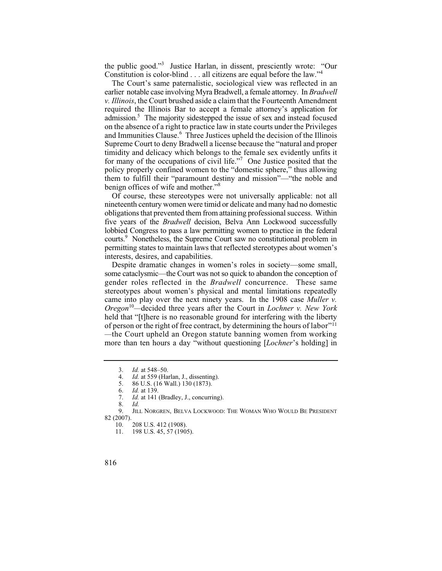the public good."3 Justice Harlan, in dissent, presciently wrote: "Our Constitution is color-blind . . . all citizens are equal before the law."<sup>4</sup>

 required the Illinois Bar to accept a female attorney's application for admission.<sup>5</sup> The majority sidestepped the issue of sex and instead focused The Court's same paternalistic, sociological view was reflected in an earlier notable case involving Myra Bradwell, a female attorney. In *Bradwell v. Illinois*, the Court brushed aside a claim that the Fourteenth Amendment on the absence of a right to practice law in state courts under the Privileges and Immunities Clause.<sup>6</sup> Three Justices upheld the decision of the Illinois Supreme Court to deny Bradwell a license because the "natural and proper timidity and delicacy which belongs to the female sex evidently unfits it for many of the occupations of civil life."<sup>7</sup> One Justice posited that the policy properly confined women to the "domestic sphere," thus allowing them to fulfill their "paramount destiny and mission"—"the noble and benign offices of wife and mother."<sup>8</sup>

 five years of the *Bradwell* decision, Belva Ann Lockwood successfully courts.9 Nonetheless, the Supreme Court saw no constitutional problem in Of course, these stereotypes were not universally applicable: not all nineteenth century women were timid or delicate and many had no domestic obligations that prevented them from attaining professional success. Within lobbied Congress to pass a law permitting women to practice in the federal permitting states to maintain laws that reflected stereotypes about women's interests, desires, and capabilities.

Despite dramatic changes in women's roles in society—some small, some cataclysmic—the Court was not so quick to abandon the conception of gender roles reflected in the *Bradwell* concurrence. These same stereotypes about women's physical and mental limitations repeatedly came into play over the next ninety years. In the 1908 case *Muller v. Oregon*<sup>10</sup>*—*decided three years after the Court in *Lochner v. New York*  held that "[t]here is no reasonable ground for interfering with the liberty of person or the right of free contract, by determining the hours of labor"11 *—*the Court upheld an Oregon statute banning women from working more than ten hours a day "without questioning [*Lochner*'s holding] in

 <sup>3.</sup> *Id.* at 548–50.

<sup>4.</sup> *Id.* at 559 (Harlan, J., dissenting).

<sup>5. 86</sup> U.S. (16 Wall.) 130 (1873).

<sup>6.</sup> *Id.* at 139.

*Id.* at 141 (Bradley, J., concurring). *Id.* 

 $\frac{8}{9}$ .

JILL NORGREN, BELVA LOCKWOOD: THE WOMAN WHO WOULD BE PRESIDENT 82 (2007).

<sup>10. 208</sup> U.S. 412 (1908).<br>11. 198 U.S. 45, 57 (190).

<sup>198</sup> U.S. 45, 57 (1905).

<sup>816</sup>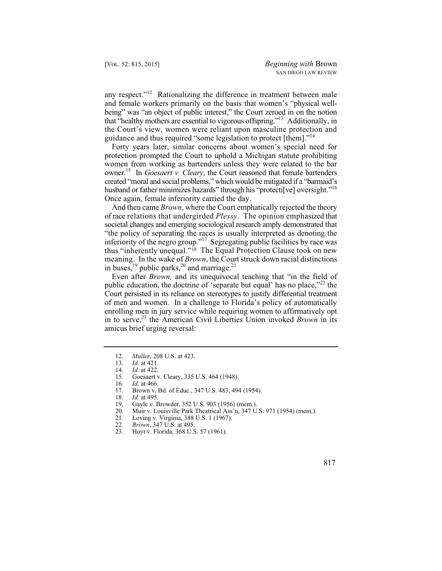that "healthy mothers are essential to vigorous offspring."13 Additionally, in any respect."<sup>12</sup> Rationalizing the difference in treatment between male and female workers primarily on the basis that women's "physical wellbeing" was "an object of public interest," the Court zeroed in on the notion the Court's view, women were reliant upon masculine protection and guidance and thus required "some legislation to protect [them]."14

Forty years later, similar concerns about women's special need for protection prompted the Court to uphold a Michigan statute prohibiting women from working as bartenders unless they were related to the bar owner.15 In *Goesaert v. Cleary*, the Court reasoned that female bartenders created "moral and social problems," which would be mitigated if a "barmaid's husband or father minimizes hazards" through his "protecti<sup>[</sup>ve] oversight."<sup>16</sup> Once again, female inferiority carried the day.

 of race relations that undergirded *Plessy*. The opinion emphasized that And then came *Brown*, where the Court emphatically rejected the theory societal changes and emerging sociological research amply demonstrated that "the policy of separating the races is usually interpreted as denoting the inferiority of the negro group."<sup>17</sup> Segregating public facilities by race was thus "inherently unequal."18 The Equal Protection Clause took on new meaning. In the wake of *Brown*, the Court struck down racial distinctions in buses,<sup>19</sup> public parks,<sup>20</sup> and marriage.<sup>21</sup>

 enrolling men in jury service while requiring women to affirmatively opt Even after *Brown,* and its unequivocal teaching that "in the field of public education, the doctrine of 'separate but equal' has no place,"<sup>22</sup> the Court persisted in its reliance on stereotypes to justify differential treatment of men and women. In a challenge to Florida's policy of automatically in to serve,<sup>23</sup> the American Civil Liberties Union invoked *Brown* in its amicus brief urging reversal:

<sup>12.</sup> *Muller*, 208 U.S. at 423.

<sup>13.</sup> *Id.* at 421.

<sup>14.</sup> *Id.* at 422.<br>15. Goesaert y

<sup>15.</sup> Goesaert v. Cleary, 335 U.S. 464 (1948).<br>16. Id. at 466.

<sup>16.</sup> *Id.* at 466.

<sup>17.</sup> Brown v. Bd. of Educ., 347 U.S. 483, 494 (1954).<br>18. Id. at 495.

<sup>18.</sup> *Id.* at 495.

<sup>19.</sup> Gayle v. Browder, 352 U.S. 903 (1956) (mem.).<br>20. Muir v. Louisville Park Theatrical Ass'n. 347 U.

<sup>20.</sup> Muir v. Louisville Park Theatrical Ass<sup>'</sup>n, 347 U.S. 971 (1954) (mem.).<br>21. Loving v. Virginia. 388 U.S. 1 (1967).

<sup>21.</sup> Loving v. Virginia, 388 U.S. 1 (1967).<br>22. *Brown*, 347 U.S. at 495.

<sup>22.</sup> *Brown*, 347 U.S. at 495.

<sup>23.</sup> Hoyt v. Florida, 368 U.S. 57 (1961).

 <sup>817</sup>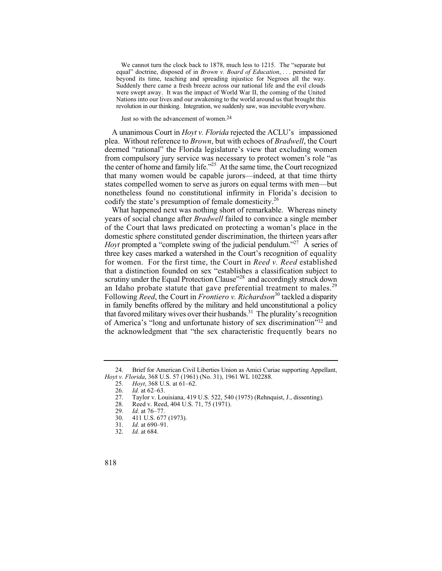revolution in our thinking. Integration, we suddenly saw, was inevitable everywhere. We cannot turn the clock back to 1878, much less to 1215. The "separate but equal" doctrine, disposed of in *Brown v. Board of Education*, . . . persisted far beyond its time, teaching and spreading injustice for Negroes all the way. Suddenly there came a fresh breeze across our national life and the evil clouds were swept away. It was the impact of World War II, the coming of the United Nations into our lives and our awakening to the world around us that brought this

Just so with the advancement of women.24

 A unanimous Court in *Hoyt v. Florida* rejected the ACLU's impassioned the center of home and family life."<sup>25</sup> At the same time, the Court recognized plea. Without reference to *Brown*, but with echoes of *Bradwell*, the Court deemed "rational" the Florida legislature's view that excluding women from compulsory jury service was necessary to protect women's role "as that many women would be capable jurors—indeed, at that time thirty states compelled women to serve as jurors on equal terms with men—but nonetheless found no constitutional infirmity in Florida's decision to codify the state's presumption of female domesticity.<sup>26</sup>

 domestic sphere constituted gender discrimination, the thirteen years after scrutiny under the Equal Protection Clause"<sup>28</sup> and accordingly struck down in family benefits offered by the military and held unconstitutional a policy the acknowledgment that "the sex characteristic frequently bears no What happened next was nothing short of remarkable. Whereas ninety years of social change after *Bradwell* failed to convince a single member of the Court that laws predicated on protecting a woman's place in the *Hoyt* prompted a "complete swing of the judicial pendulum."<sup>27</sup> A series of three key cases marked a watershed in the Court's recognition of equality for women. For the first time, the Court in *Reed v. Reed* established that a distinction founded on sex "establishes a classification subject to an Idaho probate statute that gave preferential treatment to males.<sup>29</sup> Following *Reed*, the Court in *Frontiero v. Richardson*30 tackled a disparity that favored military wives over their husbands.<sup>31</sup> The plurality's recognition of America's "long and unfortunate history of sex discrimination"32 and

<sup>24.</sup> Brief for American Civil Liberties Union as Amici Curiae supporting Appellant, *Hoyt v. Florida*, 368 U.S. 57 (1961) (No. 31), 1961 WL 102288.

<sup>25.</sup> *Hoyt*, 368 U.S. at 61–62.

<sup>26.</sup> *Id.* at 62–63.<br>27. Taylor v. Lo

<sup>27.</sup> Taylor v. Louisiana, 419 U.S. 522, 540 (1975) (Rehnquist, J., dissenting).<br>28. Reed v. Reed, 404 U.S. 71, 75 (1971).

<sup>28.</sup> Reed v. Reed, 404 U.S. 71, 75 (1971).<br>29. Id. at 76–77.

<sup>29.</sup> *Id.* at 76–77.<br>30. 411 U.S. 677 30. 411 U.S. 677 (1973).<br>31. Id. at 690–91.

<sup>31.</sup> *Id.* at 690–91.<br>32. *Id.* at 684. *Id.* at 684.

<sup>818</sup>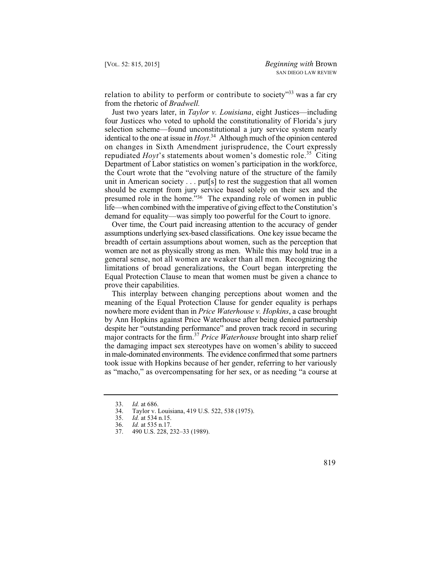relation to ability to perform or contribute to society<sup> $33$ </sup> was a far cry from the rhetoric of *Bradwell.* 

 selection scheme—found unconstitutional a jury service system nearly identical to the one at issue in *Hoyt*. 34 Although much of the opinion centered Just two years later, in *Taylor v. Louisiana*, eight Justices—including four Justices who voted to uphold the constitutionality of Florida's jury on changes in Sixth Amendment jurisprudence, the Court expressly repudiated *Hoyt*'s statements about women's domestic role.<sup>35</sup> Citing Department of Labor statistics on women's participation in the workforce, the Court wrote that the "evolving nature of the structure of the family unit in American society . . . put[s] to rest the suggestion that all women should be exempt from jury service based solely on their sex and the presumed role in the home."36 The expanding role of women in public life—when combined with the imperative of giving effect to the Constitution's demand for equality—was simply too powerful for the Court to ignore.

 assumptions underlying sex-based classifications. One key issue became the women are not as physically strong as men. While this may hold true in a general sense, not all women are weaker than all men. Recognizing the Over time, the Court paid increasing attention to the accuracy of gender breadth of certain assumptions about women, such as the perception that limitations of broad generalizations, the Court began interpreting the Equal Protection Clause to mean that women must be given a chance to prove their capabilities.

 the damaging impact sex stereotypes have on women's ability to succeed in male-dominated environments. The evidence confirmed that some partners This interplay between changing perceptions about women and the meaning of the Equal Protection Clause for gender equality is perhaps nowhere more evident than in *Price Waterhouse v. Hopkins*, a case brought by Ann Hopkins against Price Waterhouse after being denied partnership despite her "outstanding performance" and proven track record in securing major contracts for the firm.<sup>37</sup>*Price Waterhouse* brought into sharp relief took issue with Hopkins because of her gender, referring to her variously as "macho," as overcompensating for her sex, or as needing "a course at

<sup>37. 490</sup> U.S. 228, 232–33 (1989).



<sup>33.</sup> *Id.* at 686.<br>34. Taylor v. I

<sup>34.</sup> Taylor v. Louisiana, 419 U.S. 522, 538 (1975).<br>35. Id. at 534 n.15.

<sup>35.</sup> *Id.* at 534 n.15.

<sup>36.</sup> *Id.* at 535 n.17.<br>37. 490 U.S. 228. 2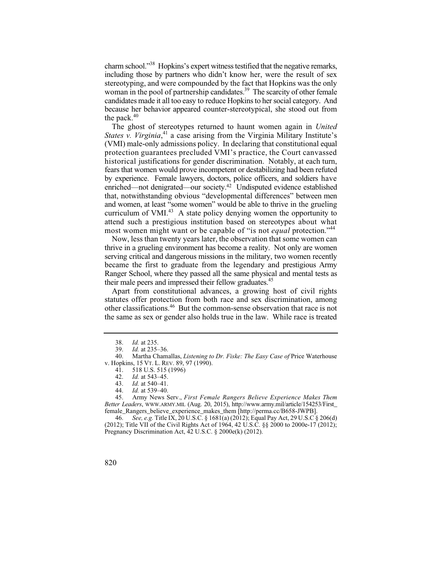candidates made it all too easy to reduce Hopkins to her social category. And charm school."38 Hopkins's expert witness testified that the negative remarks, including those by partners who didn't know her, were the result of sex stereotyping, and were compounded by the fact that Hopkins was the only woman in the pool of partnership candidates.<sup>39</sup> The scarcity of other female because her behavior appeared counter-stereotypical, she stood out from the pack. $40$ 

 that, notwithstanding obvious "developmental differences" between men and women, at least "some women" would be able to thrive in the grueling The ghost of stereotypes returned to haunt women again in *United States v. Virginia*, 41 a case arising from the Virginia Military Institute's (VMI) male-only admissions policy. In declaring that constitutional equal protection guarantees precluded VMI's practice, the Court canvassed historical justifications for gender discrimination. Notably, at each turn, fears that women would prove incompetent or destabilizing had been refuted by experience. Female lawyers, doctors, police officers, and soldiers have enriched—not denigrated—our society.42 Undisputed evidence established curriculum of VMI. $43$  A state policy denying women the opportunity to attend such a prestigious institution based on stereotypes about what most women might want or be capable of "is not *equal* protection."<sup>44</sup>

 thrive in a grueling environment has become a reality. Not only are women became the first to graduate from the legendary and prestigious Army Now, less than twenty years later, the observation that some women can serving critical and dangerous missions in the military, two women recently Ranger School, where they passed all the same physical and mental tests as their male peers and impressed their fellow graduates.<sup>45</sup>

Apart from constitutional advances, a growing host of civil rights statutes offer protection from both race and sex discrimination, among other classifications.46 But the common-sense observation that race is not the same as sex or gender also holds true in the law. While race is treated

45. Army News Serv., *First Female Rangers Believe Experience Makes Them Better Leaders*, WWW.ARMY.MIL (Aug. 20, 2015), http://www.army.mil/article/154253/First\_ female\_Rangers\_believe\_experience\_makes\_them [http://perma.cc/B658-JWPB].

 46. *See, e.g.* Title IX, 20 U.S.C. § 1681(a) (2012); Equal Pay Act, 29 U.S.C § 206(d) (2012); Title VII of the Civil Rights Act of 1964, 42 U.S.C. §§ 2000 to 2000e-17 (2012); Pregnancy Discrimination Act, 42 U.S.C. § 2000e(k) (2012).

<sup>38.</sup> *Id.* at 235.<br>39. *Id.* at 235-

<sup>39.</sup> *Id.* at 235–36.<br>40 Martha Chami

<sup>40.</sup> Martha Chamallas, *Listening to Dr. Fiske: The Easy Case of* Price Waterhouse v. Hopkins, 15 VT. L. REV. 89, 97 (1990).

<sup>41. 518</sup> U.S. 515 (1996)<br>42. *Id.* at 543–45.

<sup>42.</sup> *Id.* at 543–45.

*Id.* at 540–41.

<sup>44.</sup> *Id.* at 539–40.

<sup>820</sup>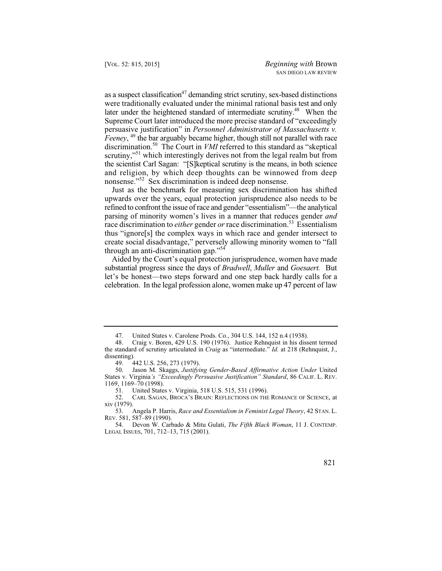were traditionally evaluated under the minimal rational basis test and only as a suspect classification<sup>47</sup> demanding strict scrutiny, sex-based distinctions later under the heightened standard of intermediate scrutiny.<sup>48</sup> When the Supreme Court later introduced the more precise standard of "exceedingly persuasive justification" in *Personnel Administrator of Massachusetts v. Feeney*, <sup>49</sup> the bar arguably became higher, though still not parallel with race discrimination.50 The Court in *VMI* referred to this standard as "skeptical scrutiny,"<sup>51</sup> which interestingly derives not from the legal realm but from the scientist Carl Sagan: "[S]keptical scrutiny is the means, in both science and religion, by which deep thoughts can be winnowed from deep nonsense."52 Sex discrimination is indeed deep nonsense.

Just as the benchmark for measuring sex discrimination has shifted upwards over the years, equal protection jurisprudence also needs to be refined to confront the issue of race and gender "essentialism"—the analytical parsing of minority women's lives in a manner that reduces gender *and*  race discrimination to *either* gender *or* race discrimination.<sup>53</sup> Essentialism thus "ignore[s] the complex ways in which race and gender intersect to create social disadvantage," perversely allowing minority women to "fall through an anti-discrimination gap."54

 let's be honest—two steps forward and one step back hardly calls for a celebration. In the legal profession alone, women make up 47 percent of law Aided by the Court's equal protection jurisprudence, women have made substantial progress since the days of *Bradwell*, *Muller* and *Goesaert.* But

United States v. Carolene Prods. Co., 304 U.S. 144, 152 n.4 (1938).

<sup>48.</sup> Craig v. Boren, 429 U.S. 190 (1976). Justice Rehnquist in his dissent termed the standard of scrutiny articulated in *Craig* as "intermediate." *Id.* at 218 (Rehnquist, J., dissenting).

<sup>49. 442</sup> U.S. 256, 273 (1979).<br>50. Jason M. Skaggs, *Justifyi* 

<sup>50.</sup> Jason M. Skaggs, *Justifying Gender-Based Affirmative Action Under* United States v. Virginia*'s "Exceedingly Persuasive Justification" Standard*, 86 CALIF. L. REV. 1169, 1169–70 (1998).

<sup>51.</sup> United States v. Virginia, 518 U.S. 515, 531 (1996).<br>52. CARL SAGAN, BROCA'S BRAIN: REFLECTIONS ON THE

<sup>52.</sup> CARL SAGAN, BROCA'S BRAIN: REFLECTIONS ON THE ROMANCE OF SCIENCE, at xiv (1979).

<sup>53.</sup> Angela P. Harris, *Race and Essentialism in Feminist Legal Theory*, 42 STAN. L. REV. 581, 587–89 (1990).

<sup>54.</sup> Devon W. Carbado & Mitu Gulati, *The Fifth Black Woman*, 11 J. CONTEMP. LEGAL ISSUES, 701, 712–13, 715 (2001).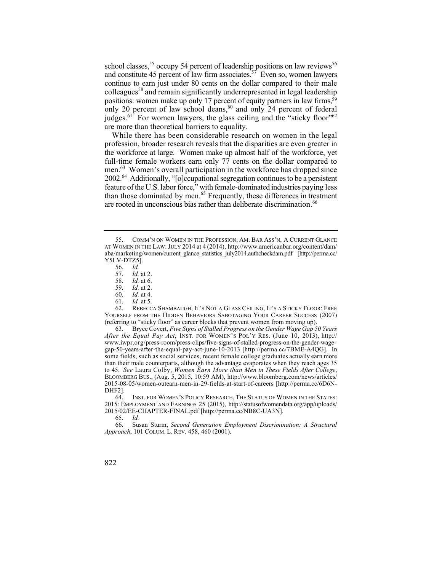and constitute 45 percent of law firm associates.<sup>57</sup> Even so, women lawyers continue to earn just under 80 cents on the dollar compared to their male school classes,<sup>55</sup> occupy 54 percent of leadership positions on law reviews<sup>56</sup> colleagues<sup>58</sup> and remain significantly underrepresented in legal leadership positions: women make up only 17 percent of equity partners in law firms,  $\frac{59}{9}$ only 20 percent of law school deans,<sup>60</sup> and only 24 percent of federal judges.<sup>61</sup> For women lawyers, the glass ceiling and the "sticky floor"<sup>62</sup> are more than theoretical barriers to equality.

 feature of the U.S. labor force," with female-dominated industries paying less While there has been considerable research on women in the legal profession, broader research reveals that the disparities are even greater in the workforce at large. Women make up almost half of the workforce, yet full-time female workers earn only 77 cents on the dollar compared to men.<sup>63</sup> Women's overall participation in the workforce has dropped since 2002.64 Additionally, "[o]ccupational segregation continues to be a persistent than those dominated by men.<sup>65</sup> Frequently, these differences in treatment are rooted in unconscious bias rather than deliberate discrimination.<sup>66</sup>

REBECCA SHAMBAUGH, IT'S NOT A GLASS CEILING, IT'S A STICKY FLOOR: FREE YOURSELF FROM THE HIDDEN BEHAVIORS SABOTAGING YOUR CAREER SUCCESS (2007) (referring to "sticky floor" as career blocks that prevent women from moving up).

 some fields, such as social services, recent female college graduates actually earn more  to 45. *See* Laura Colby, *Women Earn More than Men in These Fields After College*, 63. Bryce Covert, *Five Signs of Stalled Progress on the Gender Wage Gap 50 Years After the Equal Pay Act*, INST. FOR WOMEN'S POL'Y RES. (June 10, 2013), http:// www.iwpr.org/press-room/press-clips/five-signs-of-stalled-progress-on-the-gender-wagegap-50-years-after-the-equal-pay-act-june-10-2013 [http://perma.cc/7BME-A4QG]. In than their male counterparts, although the advantage evaporates when they reach ages 35 BLOOMBERG BUS., (Aug. 5, 2015, 10:59 AM), http://www.bloomberg.com/news/articles/ 2015-08-05/women-outearn-men-in-29-fields-at-start-of-careers [http://perma.cc/6D6N-DHF2].<br>64.

INST. FOR WOMEN'S POLICY RESEARCH, THE STATUS OF WOMEN IN THE STATES: 2015: EMPLOYMENT AND EARNINGS 25 (2015), http://statusofwomendata.org/app/uploads/ 2015/02/EE-CHAPTER-FINAL.pdf [http://perma.cc/NB8C-UA3N].

 65. *Id.* 66. Susan Sturm, *Second Generation Employment Discrimination: A Structural Approach*, 101 COLUM. L. REV. 458, 460 (2001).

 <sup>55.</sup> COMM'N ON WOMEN IN THE PROFESSION, AM. BAR ASS'N, A CURRENT GLANCE AT WOMEN IN THE LAW: JULY 2014 at 4 (2014), http://www.americanbar.org/content/dam/ aba/marketing/women/current\_glance\_statistics\_july2014.authcheckdam.pdf [http://perma.cc/ Y5LV-DTZ5].

<sup>56.</sup> *Id.*

 <sup>57.</sup> *Id.* at 2. 58. *Id.* at 6.

<sup>59.</sup> *Id.* at 2.

*Id.* at 4.

<sup>61.</sup> *Id.* at 5.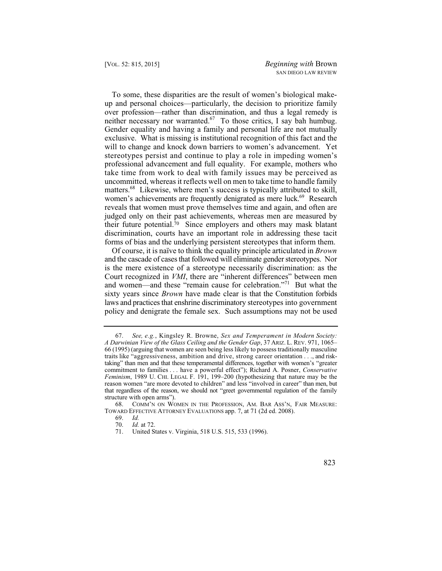To some, these disparities are the result of women's biological makeup and personal choices—particularly, the decision to prioritize family over profession—rather than discrimination, and thus a legal remedy is neither necessary nor warranted.<sup>67</sup> To those critics, I say bah humbug. Gender equality and having a family and personal life are not mutually exclusive. What is missing is institutional recognition of this fact and the will to change and knock down barriers to women's advancement. Yet stereotypes persist and continue to play a role in impeding women's professional advancement and full equality. For example, mothers who take time from work to deal with family issues may be perceived as uncommitted, whereas it reflects well on men to take time to handle family matters.<sup>68</sup> Likewise, where men's success is typically attributed to skill, women's achievements are frequently denigrated as mere luck.<sup>69</sup> Research reveals that women must prove themselves time and again, and often are judged only on their past achievements, whereas men are measured by their future potential. $\bar{70}$  Since employers and others may mask blatant discrimination, courts have an important role in addressing these tacit forms of bias and the underlying persistent stereotypes that inform them.

 and the cascade of cases that followed will eliminate gender stereotypes. Nor sixty years since *Brown* have made clear is that the Constitution forbids laws and practices that enshrine discriminatory stereotypes into government Of course, it is naïve to think the equality principle articulated in *Brown*  is the mere existence of a stereotype necessarily discrimination: as the Court recognized in *VMI*, there are "inherent differences" between men and women—and these "remain cause for celebration."<sup>71</sup> But what the policy and denigrate the female sex. Such assumptions may not be used

 67. *See, e.g.*, Kingsley R. Browne, *Sex and Temperament in Modern Society:*  taking" than men and that these temperamental differences, together with women's "greater reason women "are more devoted to children" and less "involved in career" than men, but that regardless of the reason, we should not "greet governmental regulation of the family *A Darwinian View of the Glass Ceiling and the Gender Gap*, 37 ARIZ. L. REV. 971, 1065– 66 (1995) (arguing that women are seen being less likely to possess traditionally masculine traits like "aggressiveness, ambition and drive, strong career orientation . . ., and riskcommitment to families . . . have a powerful effect"); Richard A. Posner, *Conservative Feminism*, 1989 U. CHI. LEGAL F. 191, 199–200 (hypothesizing that nature may be the structure with open arms").

<sup>68.</sup> COMM'N ON WOMEN IN THE PROFESSION, AM. BAR ASS'N, FAIR MEASURE: TOWARD EFFECTIVE ATTORNEY EVALUATIONS app. 7, at 71 (2d ed. 2008).

<sup>69.</sup> *Id.*

 <sup>70.</sup> *Id.* at 72.

<sup>71.</sup> United States v. Virginia, 518 U.S. 515, 533 (1996).